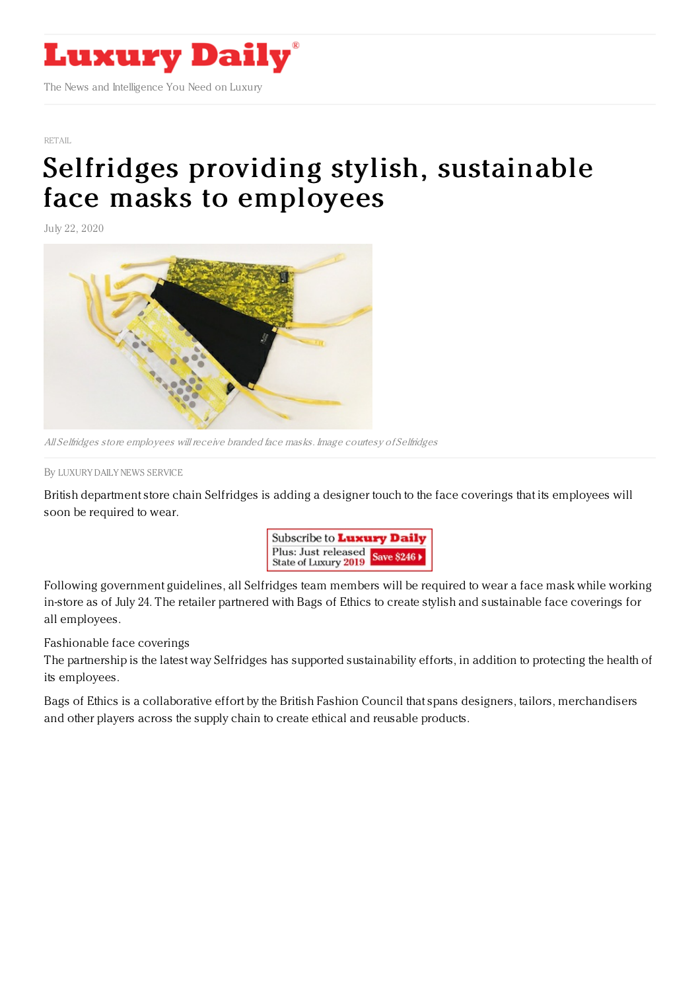

[RETAIL](https://www.luxurydaily.com/category/sectors/retail-industry-sectors/)

## Selfridges providing stylish, [sustainable](https://www.luxurydaily.com/selfridges-providing-stylish-sustainable-face-masks-to-employees/) face masks to employees

July 22, 2020



All Selfridges store employees will receive branded face masks. Image courtesy of Selfridges

By LUXURY DAILY NEWS [SERVICE](file:///author/luxury-daily-news-service)

British department store chain Selfridges is adding a designer touch to the face coverings that its employees will soon be required to wear.



Following government guidelines, all Selfridges team members will be required to wear a face mask while working in-store as of July 24. The retailer partnered with Bags of Ethics to create stylish and sustainable face coverings for all employees.

Fashionable face coverings

The partnership is the latest way Selfridges has supported sustainability efforts, in addition to protecting the health of its employees.

Bags of Ethics is a collaborative effort by the British Fashion Council that spans designers, tailors, merchandisers and other players across the supply chain to create ethical and reusable products.